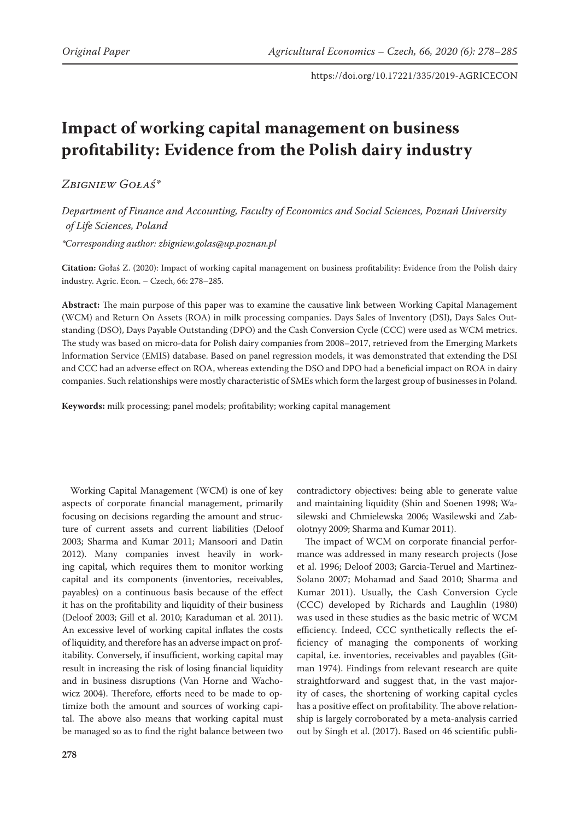# **Impact of working capital management on business profitability: Evidence from the Polish dairy industry**

## *Zbigniew Gołaś\**

*Department of Finance and Accounting, Faculty of Economics and Social Sciences, Poznań University of Life Sciences, Poland*

*\*Corresponding author: zbigniew.golas@up.poznan.pl*

**Citation:** Gołaś Z. (2020): Impact of working capital management on business profitability: Evidence from the Polish dairy industry. Agric. Econ. – Czech, 66: 278–285.

**Abstract:** The main purpose of this paper was to examine the causative link between Working Capital Management (WCM) and Return On Assets (ROA) in milk processing companies. Days Sales of Inventory (DSI), Days Sales Outstanding (DSO), Days Payable Outstanding (DPO) and the Cash Conversion Cycle (CCC) were used as WCM metrics. The study was based on micro-data for Polish dairy companies from 2008–2017, retrieved from the Emerging Markets Information Service (EMIS) database. Based on panel regression models, it was demonstrated that extending the DSI and CCC had an adverse effect on ROA, whereas extending the DSO and DPO had a beneficial impact on ROA in dairy companies. Such relationships were mostly characteristic of SMEs which form the largest group of businesses in Poland.

**Keywords:** milk processing; panel models; profitability; working capital management

Working Capital Management (WCM) is one of key aspects of corporate financial management, primarily focusing on decisions regarding the amount and structure of current assets and current liabilities (Deloof 2003; Sharma and Kumar 2011; Mansoori and Datin 2012). Many companies invest heavily in working capital, which requires them to monitor working capital and its components (inventories, receivables, payables) on a continuous basis because of the effect it has on the profitability and liquidity of their business (Deloof 2003; Gill et al. 2010; Karaduman et al. 2011). An excessive level of working capital inflates the costs of liquidity, and therefore has an adverse impact on profitability. Conversely, if insufficient, working capital may result in increasing the risk of losing financial liquidity and in business disruptions (Van Horne and Wachowicz 2004). Therefore, efforts need to be made to optimize both the amount and sources of working capital. The above also means that working capital must be managed so as to find the right balance between two

contradictory objectives: being able to generate value and maintaining liquidity (Shin and Soenen 1998; Wasilewski and Chmielewska 2006; Wasilewski and Zabolotnyy 2009; Sharma and Kumar 2011).

The impact of WCM on corporate financial performance was addressed in many research projects (Jose et al. 1996; Deloof 2003; Garcia-Teruel and Martinez-Solano 2007; Mohamad and Saad 2010; Sharma and Kumar 2011). Usually, the Cash Conversion Cycle (CCC) developed by Richards and Laughlin (1980) was used in these studies as the basic metric of WCM efficiency. Indeed, CCC synthetically reflects the efficiency of managing the components of working capital, i.e. inventories, receivables and payables (Gitman 1974). Findings from relevant research are quite straightforward and suggest that, in the vast majority of cases, the shortening of working capital cycles has a positive effect on profitability. The above relationship is largely corroborated by a meta-analysis carried out by Singh et al. (2017). Based on 46 scientific publi-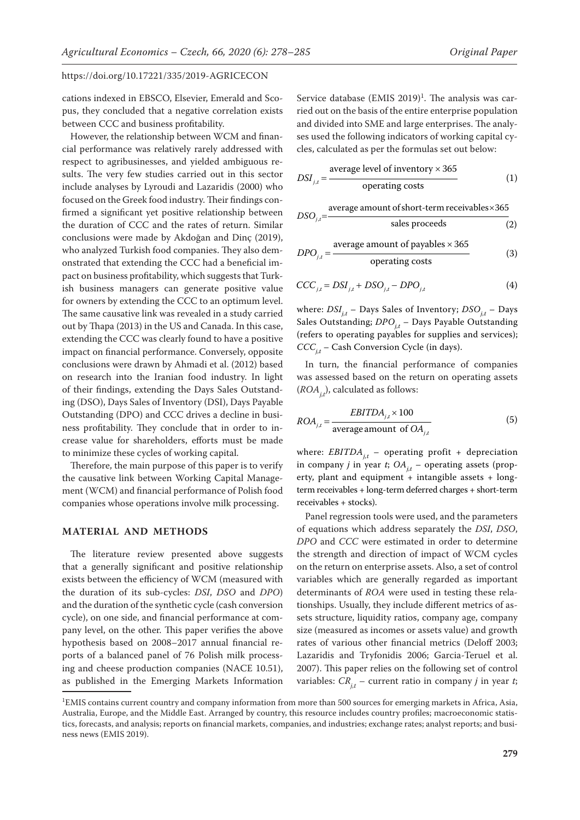cations indexed in EBSCO, Elsevier, Emerald and Scopus, they concluded that a negative correlation exists between CCC and business profitability.

However, the relationship between WCM and financial performance was relatively rarely addressed with respect to agribusinesses, and yielded ambiguous results. The very few studies carried out in this sector include analyses by Lyroudi and Lazaridis (2000) who focused on the Greek food industry. Their findings confirmed a significant yet positive relationship between the duration of CCC and the rates of return. Similar conclusions were made by Akdoğan and Dinç (2019), who analyzed Turkish food companies. They also demonstrated that extending the CCC had a beneficial impact on business profitability, which suggests that Turkish business managers can generate positive value for owners by extending the CCC to an optimum level. The same causative link was revealed in a study carried out by Thapa (2013) in the US and Canada. In this case, extending the CCC was clearly found to have a positive impact on financial performance. Conversely, opposite conclusions were drawn by Ahmadi et al. (2012) based on research into the Iranian food industry. In light of their findings, extending the Days Sales Outstanding (DSO), Days Sales of Inventory (DSI), Days Payable Outstanding (DPO) and CCC drives a decline in business profitability. They conclude that in order to increase value for shareholders, efforts must be made to minimize these cycles of working capital.

Therefore, the main purpose of this paper is to verify the causative link between Working Capital Management (WCM) and financial performance of Polish food companies whose operations involve milk processing.

#### **MATERIAL AND METHODS**

The literature review presented above suggests that a generally significant and positive relationship exists between the efficiency of WCM (measured with the duration of its sub-cycles: *DSI*, *DSO* and *DPO*) and the duration of the synthetic cycle (cash conversion cycle), on one side, and financial performance at company level, on the other. This paper verifies the above hypothesis based on 2008–2017 annual financial reports of a balanced panel of 76 Polish milk processing and cheese production companies (NACE 10.51), as published in the Emerging Markets Information Service database  $(EMIS 2019)^1$ . The analysis was carried out on the basis of the entire enterprise population and divided into SME and large enterprises. The analyses used the following indicators of working capital cycles, calculated as per the formulas set out below:

$$
DSI_{j,t} = \frac{\text{average level of inventory} \times 365}{\text{operating costs}} \tag{1}
$$

$$
DSO_{j,t} = \frac{\text{average amount of short-term receivables} \times 365}{\text{sales proceeds}} \tag{2}
$$

$$
DPO_{j,t} = \frac{\text{average amount of payables} \times 365}{\text{operating costs}} \tag{3}
$$

$$
CCC_{j,t} = DSI_{j,t} + DSO_{j,t} - DPO_{j,t}
$$
\n
$$
\tag{4}
$$

where:  $DSI_{i,t}$  – Days Sales of Inventory;  $DSO_{i,t}$  – Days Sales Outstanding; *DPO<sub>it</sub>* – Days Payable Outstanding (refers to operating payables for supplies and services); *CCC<sub>it</sub>* – Cash Conversion Cycle (in days).

In turn, the financial performance of companies was assessed based on the return on operating assets  $(ROA<sub>i</sub>,t)$ , calculated as follows:

$$
ROA_{j,t} = \frac{EBITDA_{j,t} \times 100}{\text{average amount of } OA_{j,t}}
$$
(5)

where:  $EBITDA_{j,t}$  – operating profit + depreciation in company *j* in year *t*;  $OA<sub>it</sub>$  – operating assets (property, plant and equipment  $+$  intangible assets  $+$  longterm receivables + long-term deferred charges + short-term receivables + stocks).

Panel regression tools were used, and the parameters of equations which address separately the *DSI*, *DSO*, *DPO* and *CCC* were estimated in order to determine the strength and direction of impact of WCM cycles on the return on enterprise assets. Also, a set of control variables which are generally regarded as important determinants of *ROA* were used in testing these relationships. Usually, they include different metrics of assets structure, liquidity ratios, company age, company size (measured as incomes or assets value) and growth rates of various other financial metrics (Deloff 2003; Lazaridis and Tryfonidis 2006; Garcia-Teruel et al. 2007). This paper relies on the following set of control variables:  $CR_{i,t}$  – current ratio in company *j* in year *t*;

<sup>1</sup> EMIS contains current country and company information from more than 500 sources for emerging markets in Africa, Asia, Australia, Europe, and the Middle East. Arranged by country, this resource includes country profiles; macroeconomic statistics, forecasts, and analysis; reports on financial markets, companies, and industries; exchange rates; analyst reports; and business news (EMIS 2019).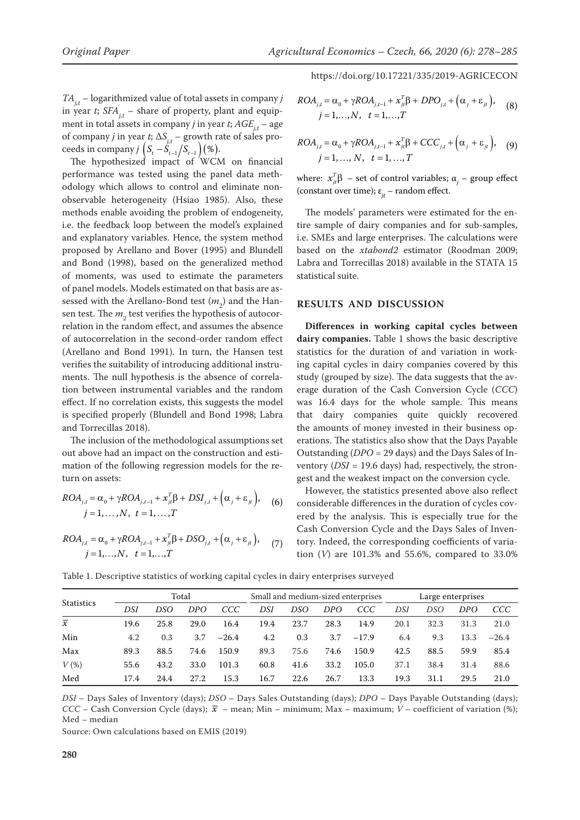$TA_{i,t}$  – logarithmized value of total assets in company *j* in year *t*;  $SFA_{i,t}$  – share of property, plant and equipment in total assets in company *j* in year *t*;  $AGE_{i,t}$  – age of company *j* in year *t*;  $\Delta S_{i,t}$  – growth rate of sales proceeds in company *j*  $(S_t - S_{t-1} | S_{t-1})$  (%).

The hypothesized impact of WCM on financial performance was tested using the panel data methodology which allows to control and eliminate nonobservable heterogeneity (Hsiao 1985). Also, these methods enable avoiding the problem of endogeneity, i.e. the feedback loop between the model's explained and explanatory variables. Hence, the system method proposed by Arellano and Bover (1995) and Blundell and Bond (1998), based on the generalized method of moments, was used to estimate the parameters of panel models. Models estimated on that basis are assessed with the Arellano-Bond test  $(m<sub>2</sub>)$  and the Hansen test. The  $m<sub>2</sub>$  test verifies the hypothesis of autocorrelation in the random effect, and assumes the absence of autocorrelation in the second-order random effect (Arellano and Bond 1991). In turn, the Hansen test verifies the suitability of introducing additional instruments. The null hypothesis is the absence of correlation between instrumental variables and the random effect. If no correlation exists, this suggests the model is specified properly (Blundell and Bond 1998; Labra and Torrecillas 2018).

The inclusion of the methodological assumptions set out above had an impact on the construction and estimation of the following regression models for the return on assets:

$$
ROA_{j,t} = \alpha_0 + \gamma ROA_{j,t-1} + x_{jt}^T \beta + DSI_{j,t} + (\alpha_j + \varepsilon_{jt}),
$$
  
\n
$$
j = 1, ..., N, \quad t = 1, ..., T
$$
 (6)

$$
ROA_{j,t} = \alpha_0 + \gamma ROA_{j,t-1} + x_{jt}^T \beta + DSO_{j,t} + (\alpha_j + \varepsilon_{jt}),
$$
  
\n
$$
j = 1,...,N, \quad t = 1,...,T
$$

https://doi.org/10.17221/335/2019-AGRICECON

$$
ROA_{j,t} = \alpha_0 + \gamma ROA_{j,t-1} + x_{jt}^T \beta + DPO_{j,t} + (\alpha_j + \varepsilon_{jt}),
$$
  
\n
$$
j = 1,...,N, \quad t = 1,...,T
$$
 (8)

$$
ROA_{j,t} = \alpha_0 + \gamma ROA_{j,t-1} + x_{jt}^T \beta + CCC_{j,t} + (\alpha_j + \varepsilon_{jt}),
$$
 (9)  

$$
j = 1, ..., N, t = 1, ..., T
$$

where:  $x_{ji}^T$ β – set of control variables;  $α_j$  – group effect (constant over time);  $\varepsilon_{it}$  – random effect.

The models' parameters were estimated for the entire sample of dairy companies and for sub-samples, i.e. SMEs and large enterprises. The calculations were based on the *xtabond2* estimator (Roodman 2009; Labra and Torrecillas 2018) available in the STATA 15 statistical suite.

#### **RESULTS AND DISCUSSION**

**Differences in working capital cycles between dairy companies.** Table 1 shows the basic descriptive statistics for the duration of and variation in working capital cycles in dairy companies covered by this study (grouped by size). The data suggests that the average duration of the Cash Conversion Cycle (*CCC*) was 16.4 days for the whole sample. This means that dairy companies quite quickly recovered the amounts of money invested in their business operations. The statistics also show that the Days Payable Outstanding (*DPO* = 29 days) and the Days Sales of Inventory (*DSI* = 19.6 days) had, respectively, the strongest and the weakest impact on the conversion cycle.

However, the statistics presented above also reflect considerable differences in the duration of cycles covered by the analysis. This is especially true for the Cash Conversion Cycle and the Days Sales of Inventory. Indeed, the corresponding coefficients of variation (*V*) are 101.3% and 55.6%, compared to 33.0%

| <b>Statistics</b> | Total |      |      | Small and medium-sized enterprises |      |      |      | Large enterprises |      |      |      |         |
|-------------------|-------|------|------|------------------------------------|------|------|------|-------------------|------|------|------|---------|
|                   | DSI   | DSO  | DPO  | CCC                                | DSI  | DSO  | DPO  | CCC               | DSI  | DSO  | DPO  | CCC     |
| $\overline{x}$    | 19.6  | 25.8 | 29.0 | 16.4                               | 19.4 | 23.7 | 28.3 | 14.9              | 20.1 | 32.3 | 31.3 | 21.0    |
| Min               | 4.2   | 0.3  | 3.7  | $-26.4$                            | 4.2  | 0.3  | 3.7  | $-17.9$           | 6.4  | 9.3  | 13.3 | $-26.4$ |
| Max               | 89.3  | 88.5 | 74.6 | 150.9                              | 89.3 | 75.6 | 74.6 | 150.9             | 42.5 | 88.5 | 59.9 | 85.4    |
| $V$ (%)           | 55.6  | 43.2 | 33.0 | 101.3                              | 60.8 | 41.6 | 33.2 | 105.0             | 37.1 | 38.4 | 31.4 | 88.6    |
| Med               | 17.4  | 24.4 | 27.2 | 15.3                               | 16.7 | 22.6 | 26.7 | 13.3              | 19.3 | 31.1 | 29.5 | 21.0    |

Table 1. Descriptive statistics of working capital cycles in dairy enterprises surveyed

*DSI* – Days Sales of Inventory (days); *DSO* – Days Sales Outstanding (days); *DPO* – Days Payable Outstanding (days); *CCC* – Cash Conversion Cycle (days);  $\bar{x}$  – mean; Min – minimum; Max – maximum; *V* – coefficient of variation (%); Med – median

Source: Own calculations based on EMIS (2019)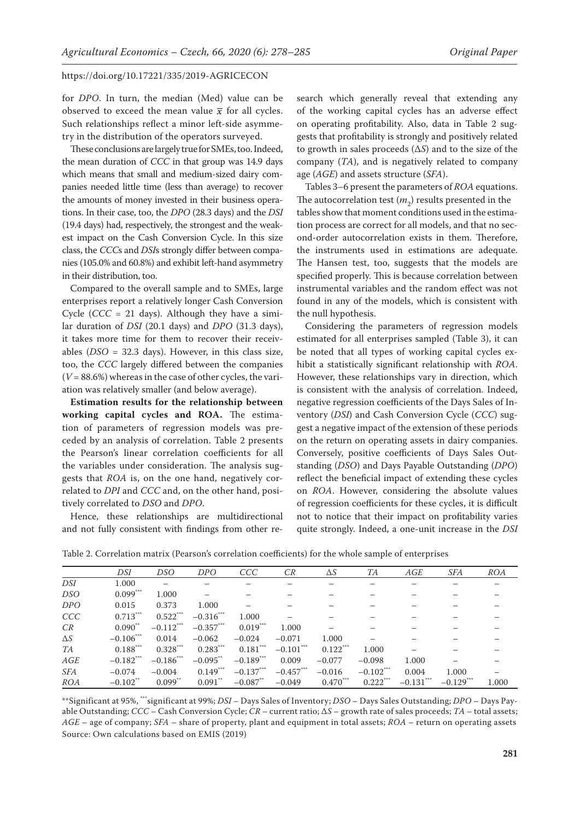for *DPO*. In turn, the median (Med) value can be observed to exceed the mean value  $\bar{x}$  for all cycles. Such relationships reflect a minor left-side asymmetry in the distribution of the operators surveyed.

These conclusions are largely true for SMEs, too. Indeed, the mean duration of *CCC* in that group was 14.9 days which means that small and medium-sized dairy companies needed little time (less than average) to recover the amounts of money invested in their business operations. In their case, too, the *DPO* (28.3 days) and the *DSI* (19.4 days) had, respectively, the strongest and the weakest impact on the Cash Conversion Cycle. In this size class, the *CCC*s and *DSI*s strongly differ between companies (105.0% and 60.8%) and exhibit left-hand asymmetry in their distribution, too.

Compared to the overall sample and to SMEs, large enterprises report a relatively longer Cash Conversion Cycle ( $CCC = 21$  days). Although they have a similar duration of *DSI* (20.1 days) and *DPO* (31.3 days), it takes more time for them to recover their receivables (*DSO* = 32.3 days). However, in this class size, too, the *CCC* largely differed between the companies (*V* = 88.6%) whereas in the case of other cycles, the variation was relatively smaller (and below average).

**Estimation results for the relationship between working capital cycles and ROA.** The estimation of parameters of regression models was preceded by an analysis of correlation. Table 2 presents the Pearson's linear correlation coefficients for all the variables under consideration. The analysis suggests that *ROA* is, on the one hand, negatively correlated to *DPI* and *CCC* and, on the other hand, positively correlated to *DSO* and *DPO*.

Hence, these relationships are multidirectional and not fully consistent with findings from other research which generally reveal that extending any of the working capital cycles has an adverse effect on operating profitability. Also, data in Table 2 suggests that profitability is strongly and positively related to growth in sales proceeds (Δ*S*) and to the size of the company (*TA*), and is negatively related to company age (*AGE*) and assets structure (*SFA*).

Tables 3–6 present the parameters of *ROA* equations. The autocorrelation test  $(m_2)$  results presented in the tables show that moment conditions used in the estimation process are correct for all models, and that no second-order autocorrelation exists in them. Therefore, the instruments used in estimations are adequate. The Hansen test, too, suggests that the models are specified properly. This is because correlation between instrumental variables and the random effect was not found in any of the models, which is consistent with the null hypothesis.

Considering the parameters of regression models estimated for all enterprises sampled (Table 3), it can be noted that all types of working capital cycles exhibit a statistically significant relationship with *ROA*. However, these relationships vary in direction, which is consistent with the analysis of correlation. Indeed, negative regression coefficients of the Days Sales of Inventory (*DSI*) and Cash Conversion Cycle (*CCC*) suggest a negative impact of the extension of these periods on the return on operating assets in dairy companies. Conversely, positive coefficients of Days Sales Outstanding (*DSO*) and Days Payable Outstanding (*DPO*) reflect the beneficial impact of extending these cycles on *ROA*. However, considering the absolute values of regression coefficients for these cycles, it is difficult not to notice that their impact on profitability varies quite strongly. Indeed, a one-unit increase in the *DSI*

|            | DSI          | DSO          | DPO          | CCC                    | СR           | $\Delta S$             | TА          | AGE      | <b>SFA</b>   | ROA   |
|------------|--------------|--------------|--------------|------------------------|--------------|------------------------|-------------|----------|--------------|-------|
| DSI        | 1.000        |              |              |                        |              |                        |             |          |              |       |
| DSO        | $0.099***$   | 1.000        |              |                        |              |                        |             |          |              |       |
| <b>DPO</b> | 0.015        | 0.373        | 1.000        |                        |              |                        |             |          |              |       |
| <b>CCC</b> | $0.713***$   | 0.522        | $-0.316$ *** | 1.000                  |              |                        |             |          |              |       |
| CR         | $0.090^{**}$ | $-0.112***$  | $-0.357***$  | $0.019***$             | 1.000        |                        |             |          |              |       |
| $\Delta S$ | $-0.106$ *** | 0.014        | $-0.062$     | $-0.024$               | $-0.071$     | 1.000                  |             |          |              |       |
| TA         | $0.188***$   | $0.328***$   | $0.283***$   | $0.181***$             | $-0.101$ *** | $0.122$ <sup>***</sup> | 1.000       |          |              |       |
| AGE        | $-0.182***$  | $-0.186$ *** | $-0.095$ **  | $-0.189***$            | 0.009        | $-0.077$               | $-0.098$    | 1.000    |              |       |
| <b>SFA</b> | $-0.074$     | $-0.004$     | $0.149***$   | $-0.137***$            | $-0.457$ *** | $-0.016$               | $-0.102***$ | 0.004    | 1.000        |       |
| ROA        | $-0.102$ **  | $0.099$ **   | $0.091$ **   | $-0.087$ <sup>**</sup> | $-0.049$     | $0.470***$             | $0.222***$  | $-0.131$ | $-0.129$ *** | 1.000 |

Table 2. Correlation matrix (Pearson's correlation coefficients) for the whole sample of enterprises

\*\*Significant at 95%, \*\*\*significant at 99%; *DSI* – Days Sales of Inventory; *DSO* – Days Sales Outstanding; *DPO* – Days Payable Outstanding; *CCC* – Cash Conversion Cycle; *CR* – current ratio; Δ*S* – growth rate of sales proceeds; *TA* – total assets; *AGE* – age of company; *SFA* – share of property, plant and equipment in total assets; *ROA –* return on operating assets Source: Own calculations based on EMIS (2019)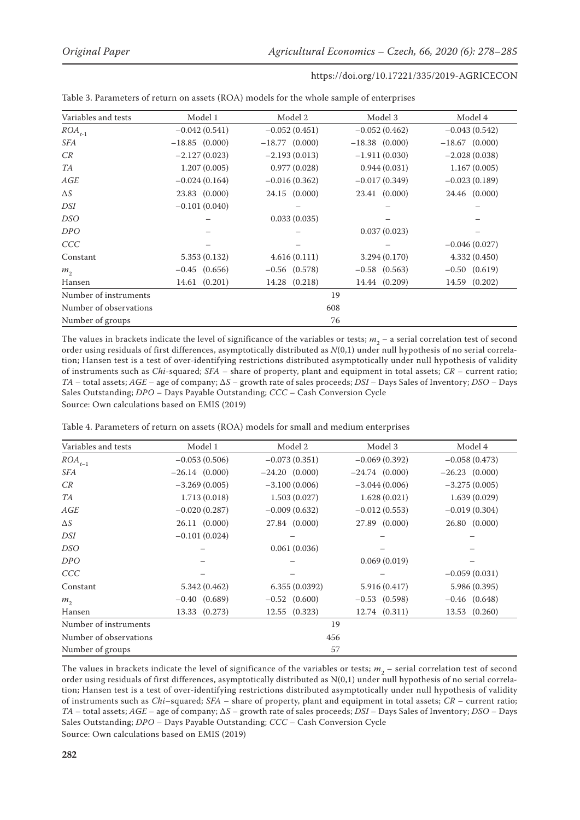| Variables and tests    | Model 1           | Model 2           | Model 3           | Model 4           |
|------------------------|-------------------|-------------------|-------------------|-------------------|
| $ROA_{t-1}$            | $-0.042(0.541)$   | $-0.052(0.451)$   | $-0.052(0.462)$   | $-0.043(0.542)$   |
| SFA                    | $-18.85$ (0.000)  | $-18.77$ (0.000)  | $-18.38$ (0.000)  | $-18.67$ (0.000)  |
| CR                     | $-2.127(0.023)$   | $-2.193(0.013)$   | $-1.911(0.030)$   | $-2.028(0.038)$   |
| TA                     | 1.207(0.005)      | 0.977(0.028)      | 0.944(0.031)      | 1.167(0.005)      |
| AGE                    | $-0.024(0.164)$   | $-0.016(0.362)$   | $-0.017(0.349)$   | $-0.023(0.189)$   |
| $\Delta S$             | 23.83 (0.000)     | 24.15 (0.000)     | 23.41 (0.000)     | 24.46 (0.000)     |
| DSI                    | $-0.101(0.040)$   |                   |                   |                   |
| DSO                    |                   | 0.033(0.035)      |                   |                   |
| DPO                    |                   |                   | 0.037(0.023)      |                   |
| <b>CCC</b>             |                   |                   |                   | $-0.046(0.027)$   |
| Constant               | 5.353(0.132)      | 4.616(0.111)      | 3.294 (0.170)     | 4.332(0.450)      |
| $m_{\gamma}$           | $-0.45$ $(0.656)$ | $-0.56$ $(0.578)$ | $-0.58$ $(0.563)$ | $-0.50$ $(0.619)$ |
| Hansen                 | 14.61 (0.201)     | 14.28 (0.218)     | 14.44 (0.209)     | 14.59 (0.202)     |
| Number of instruments  |                   |                   | 19                |                   |
| Number of observations |                   | 608               |                   |                   |
| Number of groups       |                   |                   | 76                |                   |

Table 3. Parameters of return on assets (ROA) models for the whole sample of enterprises

The values in brackets indicate the level of significance of the variables or tests;  $m_2$  – a serial correlation test of second order using residuals of first differences, asymptotically distributed as *N*(0,1) under null hypothesis of no serial correlation; Hansen test is a test of over-identifying restrictions distributed asymptotically under null hypothesis of validity of instruments such as *Chi*-squared; *SFA* – share of property, plant and equipment in total assets; *CR* – current ratio; *TA* – total assets; *AGE* – age of company; Δ*S* – growth rate of sales proceeds; *DSI* – Days Sales of Inventory; *DSO* – Days Sales Outstanding; *DPO* – Days Payable Outstanding; *CCC* – Cash Conversion Cycle Source: Own calculations based on EMIS (2019)

Table 4. Parameters of return on assets (ROA) models for small and medium enterprises

| Variables and tests    | Model 1         | Model 2           | Model 3           | Model 4            |
|------------------------|-----------------|-------------------|-------------------|--------------------|
| $ROA_{t-1}$            | $-0.053(0.506)$ | $-0.073(0.351)$   | $-0.069(0.392)$   | $-0.058(0.473)$    |
| SFA                    | $-26.14(0.000)$ | $-24.20(0.000)$   | $-24.74(0.000)$   | $-26.23$ $(0.000)$ |
| CR                     | $-3.269(0.005)$ | $-3.100(0.006)$   | $-3.044(0.006)$   | $-3.275(0.005)$    |
| TA                     | 1.713 (0.018)   | 1.503(0.027)      | 1.628(0.021)      | 1.639(0.029)       |
| AGE                    | $-0.020(0.287)$ | $-0.009(0.632)$   | $-0.012(0.553)$   | $-0.019(0.304)$    |
| $\Delta S$             | 26.11 (0.000)   | 27.84 (0.000)     | 27.89 (0.000)     | 26.80 (0.000)      |
| DSI                    | $-0.101(0.024)$ |                   |                   |                    |
| DSO                    |                 | 0.061(0.036)      |                   |                    |
| <b>DPO</b>             |                 |                   | 0.069(0.019)      |                    |
| CCC                    |                 |                   |                   | $-0.059(0.031)$    |
| Constant               | 5.342 (0.462)   | 6.355(0.0392)     | 5.916 (0.417)     | 5.986 (0.395)      |
| m <sub>2</sub>         | $-0.40(0.689)$  | $-0.52$ $(0.600)$ | $-0.53$ $(0.598)$ | $-0.46$ $(0.648)$  |
| Hansen                 | 13.33 (0.273)   | 12.55 (0.323)     | 12.74 (0.311)     | 13.53 (0.260)      |
| Number of instruments  |                 | 19                |                   |                    |
| Number of observations |                 | 456               |                   |                    |
| Number of groups       |                 | 57                |                   |                    |

The values in brackets indicate the level of significance of the variables or tests;  $m_2$  – serial correlation test of second order using residuals of first differences, asymptotically distributed as N(0,1) under null hypothesis of no serial correlation; Hansen test is a test of over-identifying restrictions distributed asymptotically under null hypothesis of validity of instruments such as *Chi*–squared; *SFA* – share of property, plant and equipment in total assets; *CR* – current ratio; *TA* – total assets; *AGE* – age of company; Δ*S* – growth rate of sales proceeds; *DSI* – Days Sales of Inventory; *DSO* – Days Sales Outstanding; *DPO* – Days Payable Outstanding; *CCC* – Cash Conversion Cycle Source: Own calculations based on EMIS (2019)

**282**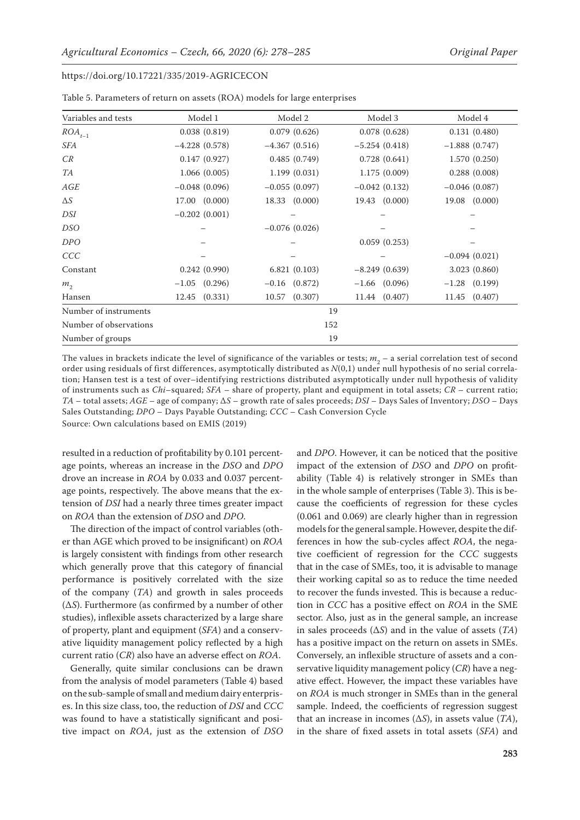| Variables and tests    | Model 1           | Model 2           | Model 3           | Model 4         |
|------------------------|-------------------|-------------------|-------------------|-----------------|
| $ROA_{t-1}$            | 0.038(0.819)      | 0.079(0.626)      | 0.078(0.628)      | 0.131(0.480)    |
| SFA                    | $-4.228(0.578)$   | $-4.367(0.516)$   | $-5.254(0.418)$   | $-1.888(0.747)$ |
| CR                     | 0.147(0.927)      | 0.485(0.749)      | 0.728(0.641)      | 1.570(0.250)    |
| TA                     | 1.066(0.005)      | 1.199(0.031)      | 1.175(0.009)      | 0.288(0.008)    |
| AGE                    | $-0.048(0.096)$   | $-0.055(0.097)$   | $-0.042(0.132)$   | $-0.046(0.087)$ |
| $\Delta S$             | 17.00 (0.000)     | 18.33 (0.000)     | 19.43 (0.000)     | 19.08 (0.000)   |
| DSI                    | $-0.202(0.001)$   |                   |                   |                 |
| DSO                    |                   | $-0.076(0.026)$   |                   |                 |
| <b>DPO</b>             |                   |                   | 0.059(0.253)      |                 |
| <b>CCC</b>             |                   |                   |                   | $-0.094(0.021)$ |
| Constant               | 0.242(0.990)      | 6.821(0.103)      | $-8.249(0.639)$   | 3.023 (0.860)   |
| m <sub>2</sub>         | $-1.05$ $(0.296)$ | $-0.16$ $(0.872)$ | $-1.66$ $(0.096)$ | $-1.28$ (0.199) |
| Hansen                 | $12.45$ $(0.331)$ | (0.307)<br>10.57  | 11.44 (0.407)     | 11.45 (0.407)   |
| Number of instruments  |                   | 19                |                   |                 |
| Number of observations |                   | 152               |                   |                 |
| Number of groups       |                   | 19                |                   |                 |

Table 5. Parameters of return on assets (ROA) models for large enterprises

The values in brackets indicate the level of significance of the variables or tests;  $m<sub>2</sub>$  – a serial correlation test of second order using residuals of first differences, asymptotically distributed as *N*(0,1) under null hypothesis of no serial correlation; Hansen test is a test of over–identifying restrictions distributed asymptotically under null hypothesis of validity of instruments such as *Chi*–squared; *SFA* – share of property, plant and equipment in total assets; *CR* – current ratio; *TA* – total assets; *AGE* – age of company; Δ*S* – growth rate of sales proceeds; *DSI* – Days Sales of Inventory; *DSO* – Days Sales Outstanding; *DPO* – Days Payable Outstanding; *CCC* – Cash Conversion Cycle Source: Own calculations based on EMIS (2019)

resulted in a reduction of profitability by 0.101 percentage points, whereas an increase in the *DSO* and *DPO* drove an increase in *ROA* by 0.033 and 0.037 percentage points, respectively. The above means that the extension of *DSI* had a nearly three times greater impact

on *ROA* than the extension of *DSO* and *DPO*. The direction of the impact of control variables (other than AGE which proved to be insignificant) on *ROA* is largely consistent with findings from other research which generally prove that this category of financial performance is positively correlated with the size of the company (*TA*) and growth in sales proceeds (Δ*S*). Furthermore (as confirmed by a number of other studies), inflexible assets characterized by a large share of property, plant and equipment (*SFA*) and a conservative liquidity management policy reflected by a high current ratio (*CR*) also have an adverse effect on *ROA*.

Generally, quite similar conclusions can be drawn from the analysis of model parameters (Table 4) based on the sub-sample of small and medium dairy enterprises. In this size class, too, the reduction of *DSI* and *CCC* was found to have a statistically significant and positive impact on *ROA*, just as the extension of *DSO*

and *DPO*. However, it can be noticed that the positive impact of the extension of *DSO* and *DPO* on profitability (Table 4) is relatively stronger in SMEs than in the whole sample of enterprises (Table 3). This is because the coefficients of regression for these cycles (0.061 and 0.069) are clearly higher than in regression models for the general sample. However, despite the differences in how the sub-cycles affect *ROA*, the negative coefficient of regression for the *CCC* suggests that in the case of SMEs, too, it is advisable to manage their working capital so as to reduce the time needed to recover the funds invested. This is because a reduction in *CCC* has a positive effect on *ROA* in the SME sector. Also, just as in the general sample, an increase in sales proceeds (Δ*S*) and in the value of assets (*TA*) has a positive impact on the return on assets in SMEs. Conversely, an inflexible structure of assets and a conservative liquidity management policy (*CR*) have a negative effect. However, the impact these variables have on *ROA* is much stronger in SMEs than in the general sample. Indeed, the coefficients of regression suggest that an increase in incomes (Δ*S*), in assets value (*TA*), in the share of fixed assets in total assets (*SFA*) and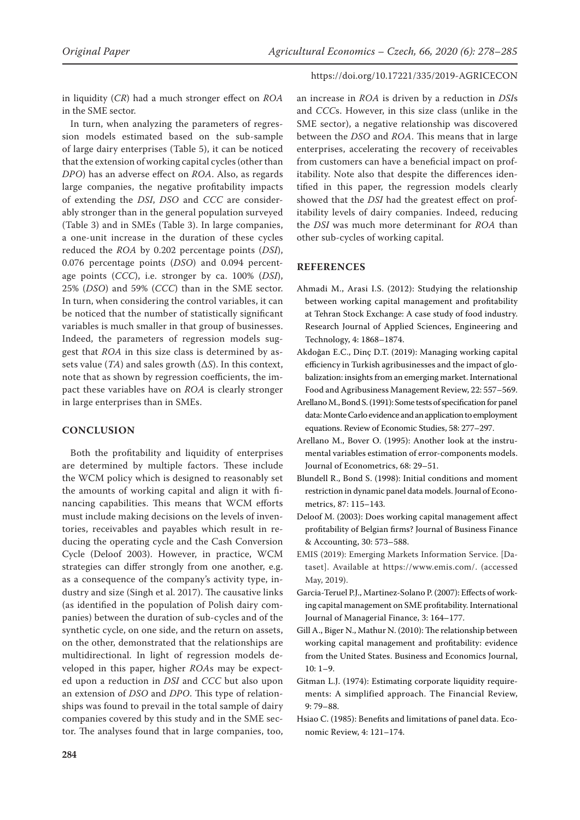in liquidity (*CR*) had a much stronger effect on *ROA* in the SME sector.

In turn, when analyzing the parameters of regression models estimated based on the sub-sample of large dairy enterprises (Table 5), it can be noticed that the extension of working capital cycles (other than *DPO*) has an adverse effect on *ROA*. Also, as regards large companies, the negative profitability impacts of extending the *DSI*, *DSO* and *CCC* are considerably stronger than in the general population surveyed (Table 3) and in SMEs (Table 3). In large companies, a one-unit increase in the duration of these cycles reduced the *ROA* by 0.202 percentage points (*DSI*), 0.076 percentage points (*DSO*) and 0.094 percentage points (*CCC*), i.e. stronger by ca. 100% (*DSI*), 25% (*DSO*) and 59% (*CCC*) than in the SME sector. In turn, when considering the control variables, it can be noticed that the number of statistically significant variables is much smaller in that group of businesses. Indeed, the parameters of regression models suggest that *ROA* in this size class is determined by assets value (*TA*) and sales growth (Δ*S*). In this context, note that as shown by regression coefficients, the impact these variables have on *ROA* is clearly stronger in large enterprises than in SMEs.

### **CONCLUSION**

Both the profitability and liquidity of enterprises are determined by multiple factors. These include the WCM policy which is designed to reasonably set the amounts of working capital and align it with financing capabilities. This means that WCM efforts must include making decisions on the levels of inventories, receivables and payables which result in reducing the operating cycle and the Cash Conversion Cycle (Deloof 2003). However, in practice, WCM strategies can differ strongly from one another, e.g. as a consequence of the company's activity type, industry and size (Singh et al. 2017). The causative links (as identified in the population of Polish dairy companies) between the duration of sub-cycles and of the synthetic cycle, on one side, and the return on assets, on the other, demonstrated that the relationships are multidirectional. In light of regression models developed in this paper, higher *ROA*s may be expected upon a reduction in *DSI* and *CCC* but also upon an extension of *DSO* and *DPO*. This type of relationships was found to prevail in the total sample of dairy companies covered by this study and in the SME sector. The analyses found that in large companies, too,

an increase in *ROA* is driven by a reduction in *DSI*s and *CCC*s. However, in this size class (unlike in the SME sector), a negative relationship was discovered between the *DSO* and *ROA*. This means that in large enterprises, accelerating the recovery of receivables from customers can have a beneficial impact on profitability. Note also that despite the differences identified in this paper, the regression models clearly showed that the *DSI* had the greatest effect on profitability levels of dairy companies. Indeed, reducing the *DSI* was much more determinant for *ROA* than other sub-cycles of working capital.

#### **REFERENCES**

- Ahmadi M., Arasi I.S. (2012): Studying the relationship between working capital management and profitability at Tehran Stock Exchange: A case study of food industry. Research Journal of Applied Sciences, Engineering and Technology, 4: 1868–1874.
- Akdoğan E.C., Dinç D.T. (2019): Managing working capital efficiency in Turkish agribusinesses and the impact of globalization: insights from an emerging market. International Food and Agribusiness Management Review, 22: 557–569.
- Arellano M., Bond S. (1991): Some tests of specification for panel data: Monte Carlo evidence and an application to employment equations. Review of Economic Studies, 58: 277–297.
- Arellano M., Bover O. (1995): Another look at the instrumental variables estimation of error-components models. Journal of Econometrics, 68: 29–51.
- Blundell R., Bond S. (1998): Initial conditions and moment restriction in dynamic panel data models. Journal of Econometrics, 87: 115–143.
- Deloof M. (2003): Does working capital management affect profitability of Belgian firms? Journal of Business Finance & Accounting, 30: 573–588.
- EMIS (2019): Emerging Markets Information Service. [Dataset]. Available at [https://www.emis.com/.](https://www.emis.com/) (accessed May, 2019).
- Garcia-Teruel P.J., Martinez-Solano P. (2007): Effects of working capital management on SME profitability. International Journal of Managerial Finance, 3: 164–177.
- Gill A., Biger N., Mathur N. (2010): The relationship between working capital management and profitability: evidence from the United States. Business and Economics Journal, 10: 1–9.
- Gitman L.J. (1974): Estimating corporate liquidity requirements: A simplified approach. The Financial Review, 9: 79–88.
- Hsiao C. (1985): Benefits and limitations of panel data. Economic Review, 4: 121–174.